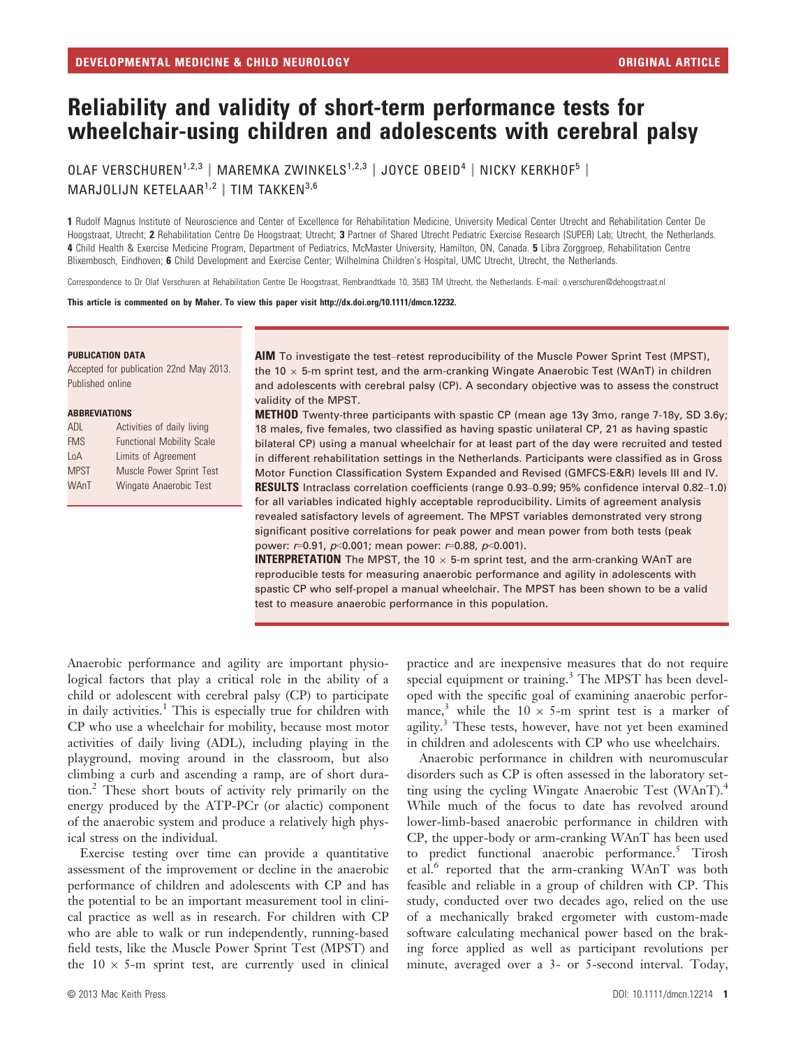# Reliability and validity of short-term performance tests for wheelchair-using children and adolescents with cerebral palsy

OLAF VERSCHUREN<sup>1,2,3</sup> | MAREMKA ZWINKELS<sup>1,2,3</sup> | JOYCE OBEID<sup>4</sup> | NICKY KERKHOF<sup>5</sup> | MARJOLIJN KETELAAR<sup>1,2</sup> | TIM TAKKEN<sup>3,6</sup>

1 Rudolf Magnus Institute of Neuroscience and Center of Excellence for Rehabilitation Medicine, University Medical Center Utrecht and Rehabilitation Center De Hoogstraat, Utrecht; 2 Rehabilitation Centre De Hoogstraat; Utrecht; 3 Partner of Shared Utrecht Pediatric Exercise Research (SUPER) Lab; Utrecht, the Netherlands. 4 Child Health & Exercise Medicine Program, Department of Pediatrics, McMaster University, Hamilton, ON, Canada. 5 Libra Zorggroep, Rehabilitation Centre Blixembosch, Eindhoven; 6 Child Development and Exercise Center; Wilhelmina Children's Hospital, UMC Utrecht, Utrecht, the Netherlands.

Correspondence to Dr Olaf Verschuren at Rehabilitation Centre De Hoogstraat, Rembrandtkade 10, 3583 TM Utrecht, the Netherlands. E-mail: o.verschuren@dehoogstraat.nl

This article is commented on by Maher. To view this paper visit http://dx.doi.org/10.1111/dmcn.12232.

#### PUBLICATION DATA

Accepted for publication 22nd May 2013. Published online

#### ABBREVIATIONS

| ADL         | Activities of daily living       |
|-------------|----------------------------------|
| <b>FMS</b>  | <b>Functional Mobility Scale</b> |
| LoA         | Limits of Agreement              |
| <b>MPST</b> | Muscle Power Sprint Test         |
| WAnT        | Wingate Anaerobic Test           |
|             |                                  |

AIM To investigate the test–retest reproducibility of the Muscle Power Sprint Test (MPST), the 10  $\times$  5-m sprint test, and the arm-cranking Wingate Anaerobic Test (WAnT) in children and adolescents with cerebral palsy (CP). A secondary objective was to assess the construct validity of the MPST.

METHOD Twenty-three participants with spastic CP (mean age 13y 3mo, range 7-18y, SD 3.6y; 18 males, five females, two classified as having spastic unilateral CP, 21 as having spastic bilateral CP) using a manual wheelchair for at least part of the day were recruited and tested in different rehabilitation settings in the Netherlands. Participants were classified as in Gross Motor Function Classification System Expanded and Revised (GMFCS-E&R) levels III and IV. RESULTS Intraclass correlation coefficients (range 0.93–0.99; 95% confidence interval 0.82–1.0) for all variables indicated highly acceptable reproducibility. Limits of agreement analysis revealed satisfactory levels of agreement. The MPST variables demonstrated very strong significant positive correlations for peak power and mean power from both tests (peak power:  $r=0.91$ ,  $p<0.001$ ; mean power:  $r=0.88$ ,  $p<0.001$ ).

**INTERPRETATION** The MPST, the 10  $\times$  5-m sprint test, and the arm-cranking WAnT are reproducible tests for measuring anaerobic performance and agility in adolescents with spastic CP who self-propel a manual wheelchair. The MPST has been shown to be a valid test to measure anaerobic performance in this population.

Anaerobic performance and agility are important physiological factors that play a critical role in the ability of a child or adolescent with cerebral palsy (CP) to participate in daily activities.<sup>1</sup> This is especially true for children with CP who use a wheelchair for mobility, because most motor activities of daily living (ADL), including playing in the playground, moving around in the classroom, but also climbing a curb and ascending a ramp, are of short duration.<sup>2</sup> These short bouts of activity rely primarily on the energy produced by the ATP-PCr (or alactic) component of the anaerobic system and produce a relatively high physical stress on the individual.

Exercise testing over time can provide a quantitative assessment of the improvement or decline in the anaerobic performance of children and adolescents with CP and has the potential to be an important measurement tool in clinical practice as well as in research. For children with CP who are able to walk or run independently, running-based field tests, like the Muscle Power Sprint Test (MPST) and the  $10 \times 5$ -m sprint test, are currently used in clinical

special equipment or training.<sup>3</sup> The MPST has been developed with the specific goal of examining anaerobic performance,<sup>3</sup> while the  $10 \times 5$ -m sprint test is a marker of agility.<sup>3</sup> These tests, however, have not yet been examined in children and adolescents with CP who use wheelchairs. Anaerobic performance in children with neuromuscular

practice and are inexpensive measures that do not require

disorders such as CP is often assessed in the laboratory setting using the cycling Wingate Anaerobic Test (WAnT).<sup>4</sup> While much of the focus to date has revolved around lower-limb-based anaerobic performance in children with CP, the upper-body or arm-cranking WAnT has been used to predict functional anaerobic performance.<sup>5</sup> Tirosh et al.<sup>6</sup> reported that the arm-cranking WAnT was both feasible and reliable in a group of children with CP. This study, conducted over two decades ago, relied on the use of a mechanically braked ergometer with custom-made software calculating mechanical power based on the braking force applied as well as participant revolutions per minute, averaged over a 3- or 5-second interval. Today,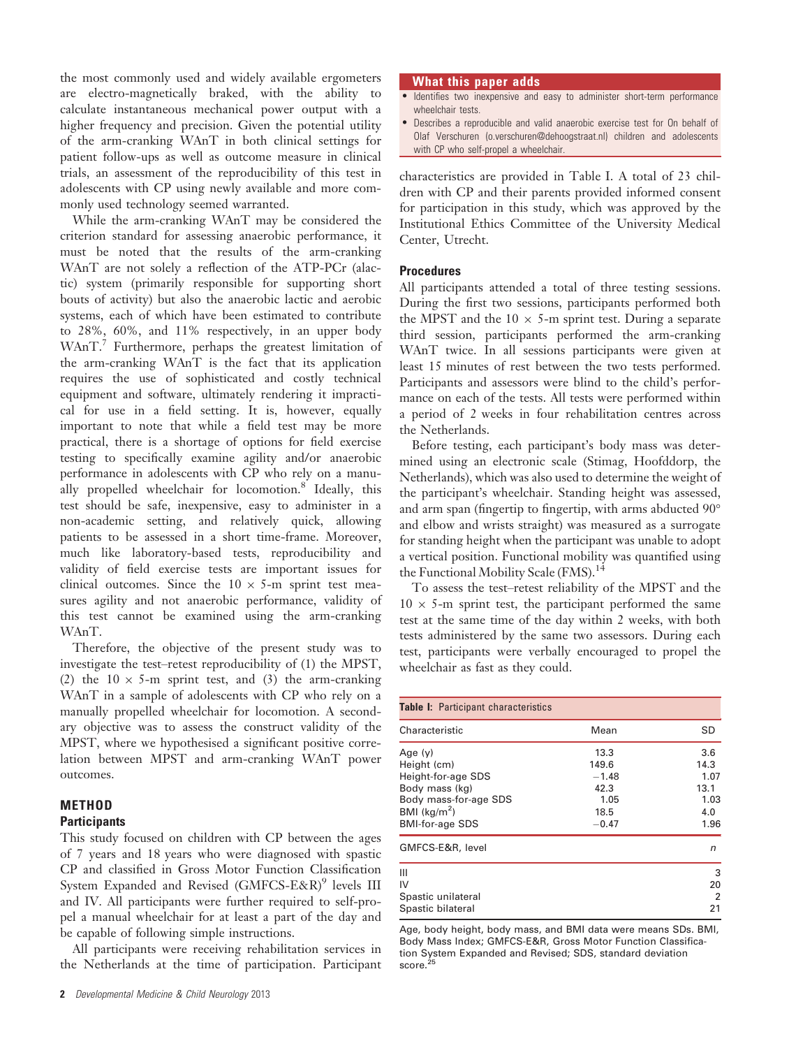the most commonly used and widely available ergometers are electro-magnetically braked, with the ability to calculate instantaneous mechanical power output with a higher frequency and precision. Given the potential utility of the arm-cranking WAnT in both clinical settings for patient follow-ups as well as outcome measure in clinical trials, an assessment of the reproducibility of this test in adolescents with CP using newly available and more commonly used technology seemed warranted.

While the arm-cranking WAnT may be considered the criterion standard for assessing anaerobic performance, it must be noted that the results of the arm-cranking WAnT are not solely a reflection of the ATP-PCr (alactic) system (primarily responsible for supporting short bouts of activity) but also the anaerobic lactic and aerobic systems, each of which have been estimated to contribute to 28%, 60%, and 11% respectively, in an upper body WAnT.<sup>7</sup> Furthermore, perhaps the greatest limitation of the arm-cranking WAnT is the fact that its application requires the use of sophisticated and costly technical equipment and software, ultimately rendering it impractical for use in a field setting. It is, however, equally important to note that while a field test may be more practical, there is a shortage of options for field exercise testing to specifically examine agility and/or anaerobic performance in adolescents with CP who rely on a manually propelled wheelchair for locomotion.<sup>8</sup> Ideally, this test should be safe, inexpensive, easy to administer in a non-academic setting, and relatively quick, allowing patients to be assessed in a short time-frame. Moreover, much like laboratory-based tests, reproducibility and validity of field exercise tests are important issues for clinical outcomes. Since the  $10 \times 5$ -m sprint test measures agility and not anaerobic performance, validity of this test cannot be examined using the arm-cranking WAnT.

Therefore, the objective of the present study was to investigate the test–retest reproducibility of (1) the MPST, (2) the  $10 \times 5$ -m sprint test, and (3) the arm-cranking WAnT in a sample of adolescents with CP who rely on a manually propelled wheelchair for locomotion. A secondary objective was to assess the construct validity of the MPST, where we hypothesised a significant positive correlation between MPST and arm-cranking WAnT power outcomes.

# **METHOD**

## **Participants**

This study focused on children with CP between the ages of 7 years and 18 years who were diagnosed with spastic CP and classified in Gross Motor Function Classification System Expanded and Revised (GMFCS-E&R)<sup>9</sup> levels III and IV. All participants were further required to self-propel a manual wheelchair for at least a part of the day and be capable of following simple instructions.

All participants were receiving rehabilitation services in the Netherlands at the time of participation. Participant

#### What this paper adds

- Identifies two inexpensive and easy to administer short-term performance wheelchair tests.
- Describes a reproducible and valid anaerobic exercise test for On behalf of Olaf Verschuren (o.verschuren@dehoogstraat.nl) children and adolescents with CP who self-propel a wheelchair.

characteristics are provided in Table I. A total of 23 children with CP and their parents provided informed consent for participation in this study, which was approved by the Institutional Ethics Committee of the University Medical Center, Utrecht.

#### Procedures

All participants attended a total of three testing sessions. During the first two sessions, participants performed both the MPST and the  $10 \times 5$ -m sprint test. During a separate third session, participants performed the arm-cranking WAnT twice. In all sessions participants were given at least 15 minutes of rest between the two tests performed. Participants and assessors were blind to the child's performance on each of the tests. All tests were performed within a period of 2 weeks in four rehabilitation centres across the Netherlands.

Before testing, each participant's body mass was determined using an electronic scale (Stimag, Hoofddorp, the Netherlands), which was also used to determine the weight of the participant's wheelchair. Standing height was assessed, and arm span (fingertip to fingertip, with arms abducted 90° and elbow and wrists straight) was measured as a surrogate for standing height when the participant was unable to adopt a vertical position. Functional mobility was quantified using the Functional Mobility Scale (FMS).<sup>14</sup>

To assess the test–retest reliability of the MPST and the  $10 \times 5$ -m sprint test, the participant performed the same test at the same time of the day within 2 weeks, with both tests administered by the same two assessors. During each test, participants were verbally encouraged to propel the wheelchair as fast as they could.

| Table I: Participant characteristics |         |                |  |  |
|--------------------------------------|---------|----------------|--|--|
| Characteristic                       | Mean    | SD             |  |  |
| Age (y)                              | 13.3    | 3.6            |  |  |
| Height (cm)                          | 149.6   | 14.3           |  |  |
| Height-for-age SDS                   | $-1.48$ | 1.07           |  |  |
| Body mass (kg)                       | 42.3    | 13.1           |  |  |
| Body mass-for-age SDS                | 1.05    | 1.03           |  |  |
| BMI $\frac{kg}{m^2}$                 | 18.5    | 4.0            |  |  |
| <b>BMI-for-age SDS</b>               | $-0.47$ | 1.96           |  |  |
| GMFCS-E&R, level                     |         | n              |  |  |
| Ш                                    |         | 3              |  |  |
| IV                                   |         | 20             |  |  |
| Spastic unilateral                   |         | $\overline{2}$ |  |  |
| Spastic bilateral                    |         | 21             |  |  |

Age, body height, body mass, and BMI data were means SDs. BMI, Body Mass Index; GMFCS-E&R, Gross Motor Function Classification System Expanded and Revised; SDS, standard deviation  $score<sup>2</sup>$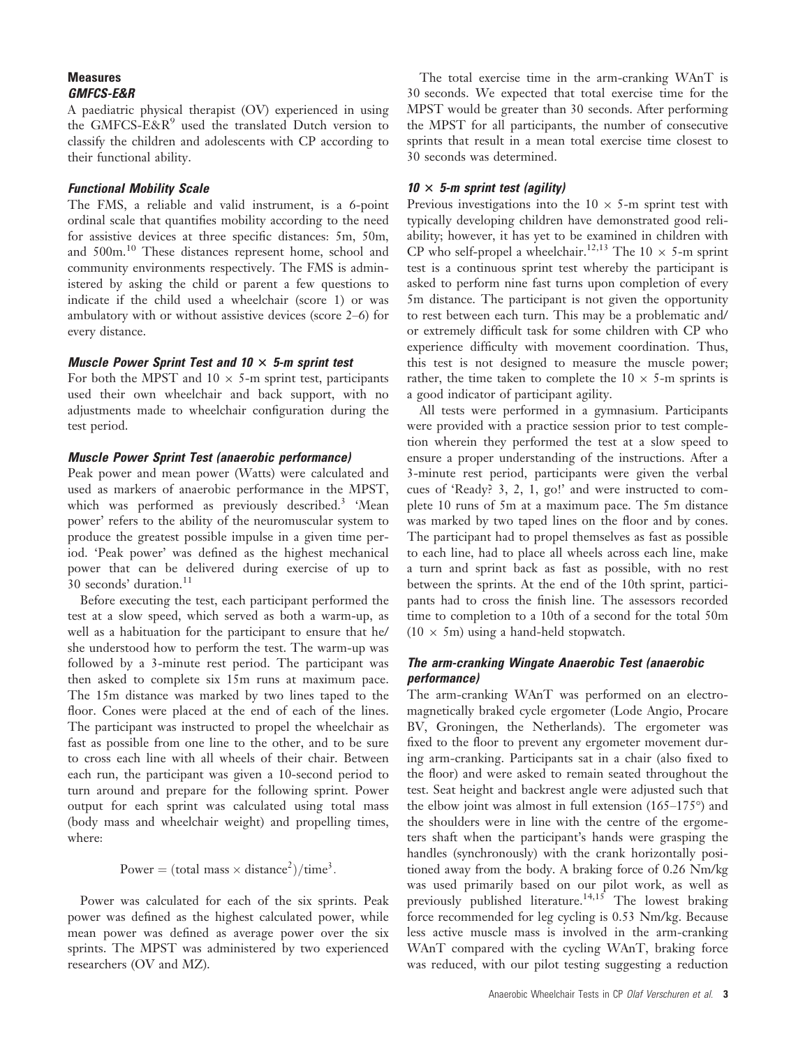# Measures GMFCS-E&R

A paediatric physical therapist (OV) experienced in using the GMFCS-E&R $9$  used the translated Dutch version to classify the children and adolescents with CP according to their functional ability.

# Functional Mobility Scale

The FMS, a reliable and valid instrument, is a 6-point ordinal scale that quantifies mobility according to the need for assistive devices at three specific distances: 5m, 50m, and 500m.<sup>10</sup> These distances represent home, school and community environments respectively. The FMS is administered by asking the child or parent a few questions to indicate if the child used a wheelchair (score 1) or was ambulatory with or without assistive devices (score 2–6) for every distance.

# Muscle Power Sprint Test and  $10 \times 5$ -m sprint test

For both the MPST and  $10 \times 5$ -m sprint test, participants used their own wheelchair and back support, with no adjustments made to wheelchair configuration during the test period.

# Muscle Power Sprint Test (anaerobic performance)

Peak power and mean power (Watts) were calculated and used as markers of anaerobic performance in the MPST, which was performed as previously described.<sup>3</sup> 'Mean power' refers to the ability of the neuromuscular system to produce the greatest possible impulse in a given time period. 'Peak power' was defined as the highest mechanical power that can be delivered during exercise of up to 30 seconds' duration.<sup>11</sup>

Before executing the test, each participant performed the test at a slow speed, which served as both a warm-up, as well as a habituation for the participant to ensure that he/ she understood how to perform the test. The warm-up was followed by a 3-minute rest period. The participant was then asked to complete six 15m runs at maximum pace. The 15m distance was marked by two lines taped to the floor. Cones were placed at the end of each of the lines. The participant was instructed to propel the wheelchair as fast as possible from one line to the other, and to be sure to cross each line with all wheels of their chair. Between each run, the participant was given a 10-second period to turn around and prepare for the following sprint. Power output for each sprint was calculated using total mass (body mass and wheelchair weight) and propelling times, where:

Power =  $(total mass × distance<sup>2</sup>)/time<sup>3</sup>$ .

Power was calculated for each of the six sprints. Peak power was defined as the highest calculated power, while mean power was defined as average power over the six sprints. The MPST was administered by two experienced researchers (OV and MZ).

The total exercise time in the arm-cranking WAnT is 30 seconds. We expected that total exercise time for the MPST would be greater than 30 seconds. After performing the MPST for all participants, the number of consecutive sprints that result in a mean total exercise time closest to 30 seconds was determined.

# $10 \times 5$ -m sprint test (agility)

Previous investigations into the  $10 \times 5$ -m sprint test with typically developing children have demonstrated good reliability; however, it has yet to be examined in children with CP who self-propel a wheelchair.<sup>12,13</sup> The 10  $\times$  5-m sprint test is a continuous sprint test whereby the participant is asked to perform nine fast turns upon completion of every 5m distance. The participant is not given the opportunity to rest between each turn. This may be a problematic and/ or extremely difficult task for some children with CP who experience difficulty with movement coordination. Thus, this test is not designed to measure the muscle power; rather, the time taken to complete the  $10 \times 5$ -m sprints is a good indicator of participant agility.

All tests were performed in a gymnasium. Participants were provided with a practice session prior to test completion wherein they performed the test at a slow speed to ensure a proper understanding of the instructions. After a 3-minute rest period, participants were given the verbal cues of 'Ready? 3, 2, 1, go!' and were instructed to complete 10 runs of 5m at a maximum pace. The 5m distance was marked by two taped lines on the floor and by cones. The participant had to propel themselves as fast as possible to each line, had to place all wheels across each line, make a turn and sprint back as fast as possible, with no rest between the sprints. At the end of the 10th sprint, participants had to cross the finish line. The assessors recorded time to completion to a 10th of a second for the total 50m  $(10 \times 5m)$  using a hand-held stopwatch.

# The arm-cranking Wingate Anaerobic Test (anaerobic performance)

The arm-cranking WAnT was performed on an electromagnetically braked cycle ergometer (Lode Angio, Procare BV, Groningen, the Netherlands). The ergometer was fixed to the floor to prevent any ergometer movement during arm-cranking. Participants sat in a chair (also fixed to the floor) and were asked to remain seated throughout the test. Seat height and backrest angle were adjusted such that the elbow joint was almost in full extension (165–175°) and the shoulders were in line with the centre of the ergometers shaft when the participant's hands were grasping the handles (synchronously) with the crank horizontally positioned away from the body. A braking force of 0.26 Nm/kg was used primarily based on our pilot work, as well as previously published literature.<sup>14,15</sup> The lowest braking force recommended for leg cycling is 0.53 Nm/kg. Because less active muscle mass is involved in the arm-cranking WAnT compared with the cycling WAnT, braking force was reduced, with our pilot testing suggesting a reduction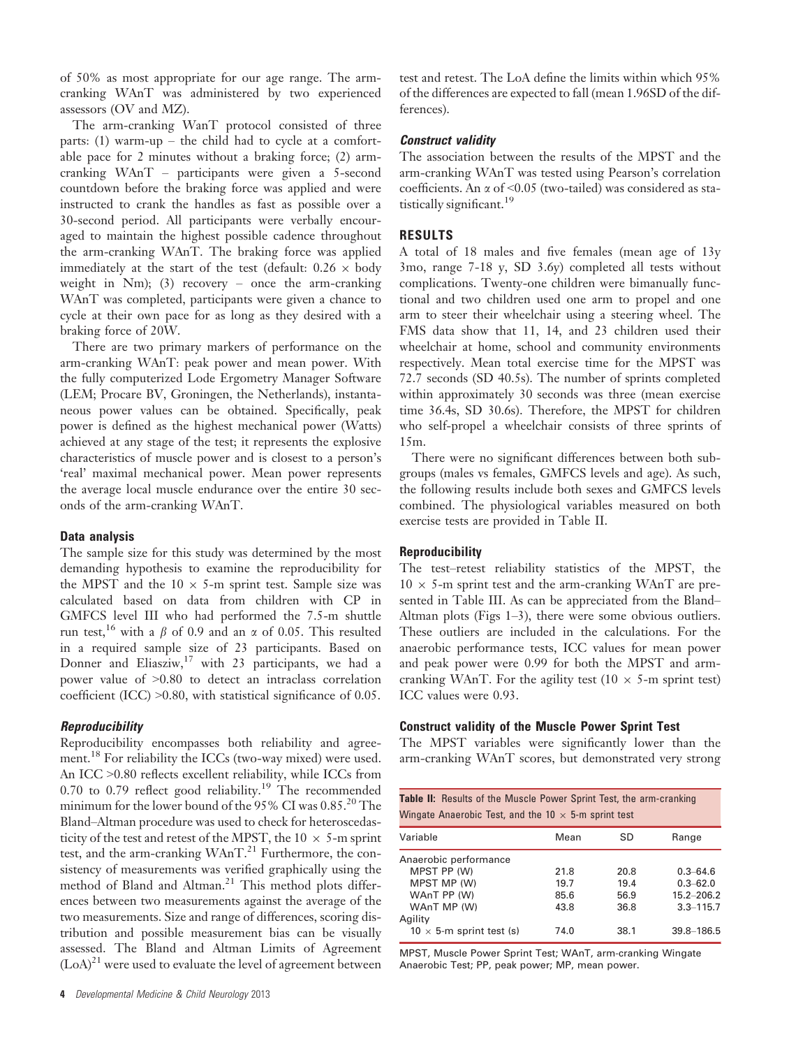of 50% as most appropriate for our age range. The armcranking WAnT was administered by two experienced assessors (OV and MZ).

The arm-cranking WanT protocol consisted of three parts: (1) warm-up – the child had to cycle at a comfortable pace for 2 minutes without a braking force; (2) armcranking WAnT – participants were given a 5-second countdown before the braking force was applied and were instructed to crank the handles as fast as possible over a 30-second period. All participants were verbally encouraged to maintain the highest possible cadence throughout the arm-cranking WAnT. The braking force was applied immediately at the start of the test (default:  $0.26 \times$  body weight in Nm); (3) recovery – once the arm-cranking WAnT was completed, participants were given a chance to cycle at their own pace for as long as they desired with a braking force of 20W.

There are two primary markers of performance on the arm-cranking WAnT: peak power and mean power. With the fully computerized Lode Ergometry Manager Software (LEM; Procare BV, Groningen, the Netherlands), instantaneous power values can be obtained. Specifically, peak power is defined as the highest mechanical power (Watts) achieved at any stage of the test; it represents the explosive characteristics of muscle power and is closest to a person's 'real' maximal mechanical power. Mean power represents the average local muscle endurance over the entire 30 seconds of the arm-cranking WAnT.

# Data analysis

The sample size for this study was determined by the most demanding hypothesis to examine the reproducibility for the MPST and the  $10 \times 5$ -m sprint test. Sample size was calculated based on data from children with CP in GMFCS level III who had performed the 7.5-m shuttle run test,<sup>16</sup> with a  $\beta$  of 0.9 and an  $\alpha$  of 0.05. This resulted in a required sample size of 23 participants. Based on Donner and Eliasziw,<sup>17</sup> with 23 participants, we had a power value of >0.80 to detect an intraclass correlation coefficient (ICC) >0.80, with statistical significance of 0.05.

# **Reproducibility**

Reproducibility encompasses both reliability and agreement.<sup>18</sup> For reliability the ICCs (two-way mixed) were used. An ICC >0.80 reflects excellent reliability, while ICCs from 0.70 to 0.79 reflect good reliability.<sup>19</sup> The recommended minimum for the lower bound of the 95% CI was 0.85.<sup>20</sup> The Bland–Altman procedure was used to check for heteroscedasticity of the test and retest of the MPST, the  $10 \times 5$ -m sprint test, and the arm-cranking  $WAnT.<sup>21</sup>$  Furthermore, the consistency of measurements was verified graphically using the method of Bland and Altman.<sup>21</sup> This method plots differences between two measurements against the average of the two measurements. Size and range of differences, scoring distribution and possible measurement bias can be visually assessed. The Bland and Altman Limits of Agreement  $(LoA)^{21}$  were used to evaluate the level of agreement between

test and retest. The LoA define the limits within which 95% of the differences are expected to fall (mean 1.96SD of the differences).

#### Construct validity

The association between the results of the MPST and the arm-cranking WAnT was tested using Pearson's correlation coefficients. An  $\alpha$  of <0.05 (two-tailed) was considered as statistically significant.<sup>19</sup>

#### RESULTS

A total of 18 males and five females (mean age of 13y 3mo, range 7-18 y, SD 3.6y) completed all tests without complications. Twenty-one children were bimanually functional and two children used one arm to propel and one arm to steer their wheelchair using a steering wheel. The FMS data show that 11, 14, and 23 children used their wheelchair at home, school and community environments respectively. Mean total exercise time for the MPST was 72.7 seconds (SD 40.5s). The number of sprints completed within approximately 30 seconds was three (mean exercise time 36.4s, SD 30.6s). Therefore, the MPST for children who self-propel a wheelchair consists of three sprints of 15m.

There were no significant differences between both subgroups (males vs females, GMFCS levels and age). As such, the following results include both sexes and GMFCS levels combined. The physiological variables measured on both exercise tests are provided in Table II.

## Reproducibility

The test–retest reliability statistics of the MPST, the  $10 \times$  5-m sprint test and the arm-cranking WAnT are presented in Table III. As can be appreciated from the Bland– Altman plots (Figs 1–3), there were some obvious outliers. These outliers are included in the calculations. For the anaerobic performance tests, ICC values for mean power and peak power were 0.99 for both the MPST and armcranking WAnT. For the agility test (10  $\times$  5-m sprint test) ICC values were 0.93.

#### Construct validity of the Muscle Power Sprint Test

The MPST variables were significantly lower than the arm-cranking WAnT scores, but demonstrated very strong

| <b>Table II:</b> Results of the Muscle Power Sprint Test, the arm-cranking<br>Wingate Anaerobic Test, and the 10 $\times$ 5-m sprint test |              |              |                                |  |  |  |
|-------------------------------------------------------------------------------------------------------------------------------------------|--------------|--------------|--------------------------------|--|--|--|
| Variable                                                                                                                                  | Mean         | SD           | Range                          |  |  |  |
| Anaerobic performance<br>MPST PP (W)                                                                                                      | 21.8         | 20.8         | $0.3 - 64.6$                   |  |  |  |
| MPST MP (W)<br>WAnT PP (W)                                                                                                                | 19.7<br>85.6 | 19.4<br>56.9 | $0.3 - 62.0$<br>$15.2 - 206.2$ |  |  |  |
| WAnT MP (W)<br>Agility                                                                                                                    | 43.8         | 36.8         | $3.3 - 115.7$                  |  |  |  |
| 10 $\times$ 5-m sprint test (s)                                                                                                           | 74.0         | 38.1         | 39.8 - 186.5                   |  |  |  |

MPST, Muscle Power Sprint Test; WAnT, arm-cranking Wingate Anaerobic Test; PP, peak power; MP, mean power.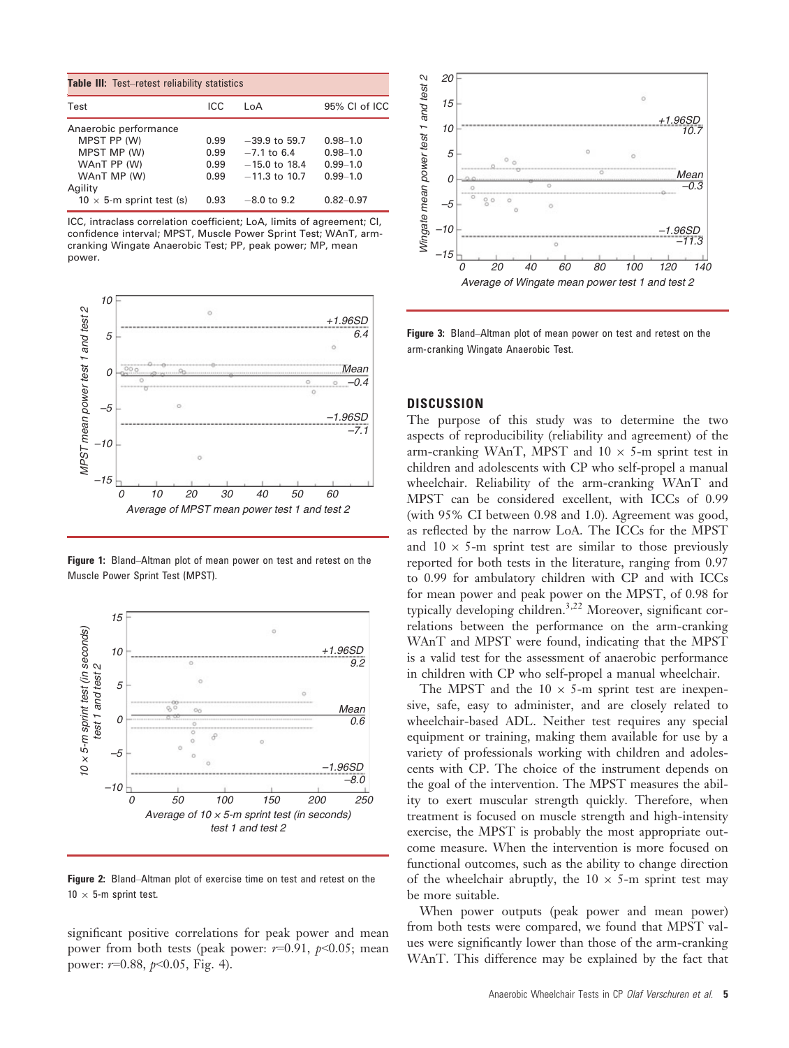| <b>Table III:</b> Test–retest reliability statistics |      |                 |               |  |  |  |
|------------------------------------------------------|------|-----------------|---------------|--|--|--|
| Test                                                 | ICC  | l oA            | 95% CL of ICC |  |  |  |
| Anaerobic performance                                |      |                 |               |  |  |  |
| MPST PP (W)                                          | 0.99 | $-39.9$ to 59.7 | $0.98 - 1.0$  |  |  |  |
| MPST MP (W)                                          | 0.99 | $-7.1$ to 6.4   | $0.98 - 1.0$  |  |  |  |
| WAnT PP (W)                                          | 0.99 | $-15.0$ to 18.4 | $0.99 - 1.0$  |  |  |  |
| WAnT MP (W)                                          | 0.99 | $-11.3$ to 10.7 | $0.99 - 1.0$  |  |  |  |
| Agility                                              |      |                 |               |  |  |  |
| $10 \times 5$ -m sprint test (s)                     | 0.93 | $-8.0$ to 9.2   | $0.82 - 0.97$ |  |  |  |

ICC, intraclass correlation coefficient; LoA, limits of agreement; CI, confidence interval; MPST, Muscle Power Sprint Test; WAnT, armcranking Wingate Anaerobic Test; PP, peak power; MP, mean power.



Figure 1: Bland–Altman plot of mean power on test and retest on the Muscle Power Sprint Test (MPST).



Figure 2: Bland–Altman plot of exercise time on test and retest on the  $10 \times 5$ -m sprint test.

significant positive correlations for peak power and mean power from both tests (peak power:  $r=0.91$ ,  $p<0.05$ ; mean power:  $r=0.88$ ,  $p<0.05$ , Fig. 4).



Figure 3: Bland–Altman plot of mean power on test and retest on the arm-cranking Wingate Anaerobic Test.

## **DISCUSSION**

The purpose of this study was to determine the two aspects of reproducibility (reliability and agreement) of the arm-cranking WAnT, MPST and  $10 \times 5$ -m sprint test in children and adolescents with CP who self-propel a manual wheelchair. Reliability of the arm-cranking WAnT and MPST can be considered excellent, with ICCs of 0.99 (with 95% CI between 0.98 and 1.0). Agreement was good, as reflected by the narrow LoA. The ICCs for the MPST and  $10 \times 5$ -m sprint test are similar to those previously reported for both tests in the literature, ranging from 0.97 to 0.99 for ambulatory children with CP and with ICCs for mean power and peak power on the MPST, of 0.98 for typically developing children.3,22 Moreover, significant correlations between the performance on the arm-cranking WAnT and MPST were found, indicating that the MPST is a valid test for the assessment of anaerobic performance in children with CP who self-propel a manual wheelchair.

The MPST and the  $10 \times 5$ -m sprint test are inexpensive, safe, easy to administer, and are closely related to wheelchair-based ADL. Neither test requires any special equipment or training, making them available for use by a variety of professionals working with children and adolescents with CP. The choice of the instrument depends on the goal of the intervention. The MPST measures the ability to exert muscular strength quickly. Therefore, when treatment is focused on muscle strength and high-intensity exercise, the MPST is probably the most appropriate outcome measure. When the intervention is more focused on functional outcomes, such as the ability to change direction of the wheelchair abruptly, the  $10 \times 5$ -m sprint test may be more suitable.

When power outputs (peak power and mean power) from both tests were compared, we found that MPST values were significantly lower than those of the arm-cranking WAnT. This difference may be explained by the fact that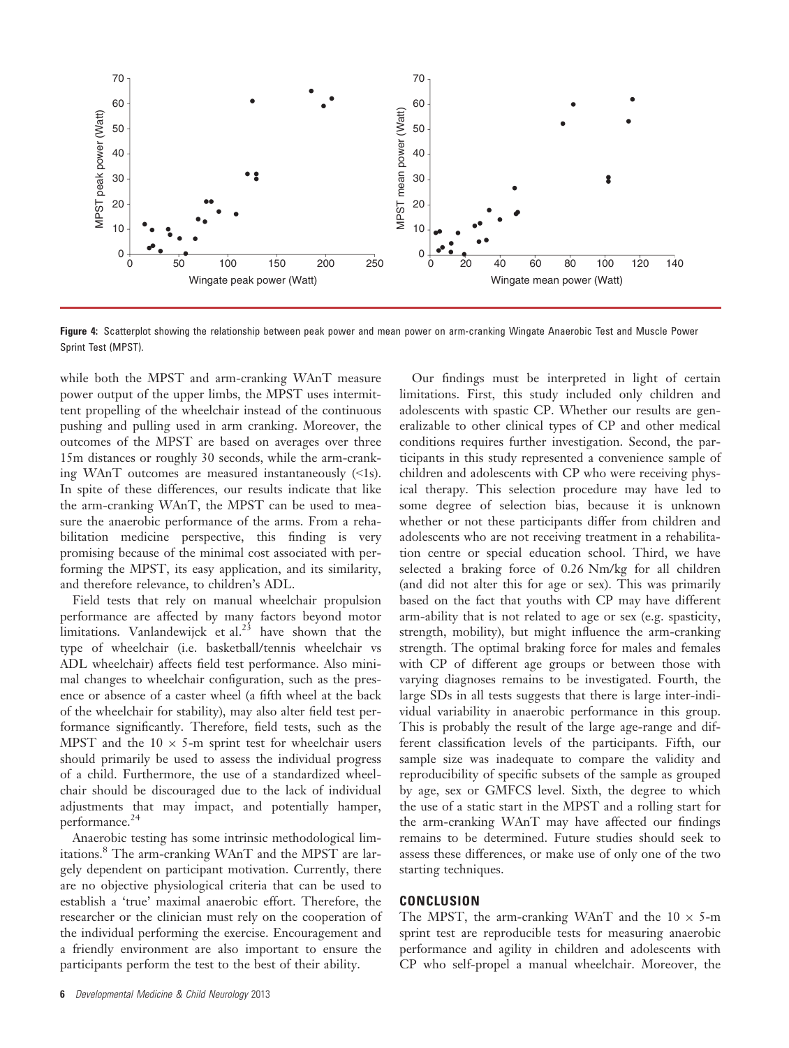

Figure 4: Scatterplot showing the relationship between peak power and mean power on arm-cranking Wingate Anaerobic Test and Muscle Power Sprint Test (MPST).

while both the MPST and arm-cranking WAnT measure power output of the upper limbs, the MPST uses intermittent propelling of the wheelchair instead of the continuous pushing and pulling used in arm cranking. Moreover, the outcomes of the MPST are based on averages over three 15m distances or roughly 30 seconds, while the arm-cranking WAnT outcomes are measured instantaneously  $(\leq 1s)$ . In spite of these differences, our results indicate that like the arm-cranking WAnT, the MPST can be used to measure the anaerobic performance of the arms. From a rehabilitation medicine perspective, this finding is very promising because of the minimal cost associated with performing the MPST, its easy application, and its similarity, and therefore relevance, to children's ADL.

Field tests that rely on manual wheelchair propulsion performance are affected by many factors beyond motor limitations. Vanlandewijck et al.<sup>23</sup> have shown that the type of wheelchair (i.e. basketball/tennis wheelchair vs ADL wheelchair) affects field test performance. Also minimal changes to wheelchair configuration, such as the presence or absence of a caster wheel (a fifth wheel at the back of the wheelchair for stability), may also alter field test performance significantly. Therefore, field tests, such as the MPST and the  $10 \times 5$ -m sprint test for wheelchair users should primarily be used to assess the individual progress of a child. Furthermore, the use of a standardized wheelchair should be discouraged due to the lack of individual adjustments that may impact, and potentially hamper, performance.<sup>24</sup>

Anaerobic testing has some intrinsic methodological limitations.<sup>8</sup> The arm-cranking WAnT and the MPST are largely dependent on participant motivation. Currently, there are no objective physiological criteria that can be used to establish a 'true' maximal anaerobic effort. Therefore, the researcher or the clinician must rely on the cooperation of the individual performing the exercise. Encouragement and a friendly environment are also important to ensure the participants perform the test to the best of their ability.

Our findings must be interpreted in light of certain limitations. First, this study included only children and adolescents with spastic CP. Whether our results are generalizable to other clinical types of CP and other medical conditions requires further investigation. Second, the participants in this study represented a convenience sample of children and adolescents with CP who were receiving physical therapy. This selection procedure may have led to some degree of selection bias, because it is unknown whether or not these participants differ from children and adolescents who are not receiving treatment in a rehabilitation centre or special education school. Third, we have selected a braking force of 0.26 Nm/kg for all children (and did not alter this for age or sex). This was primarily based on the fact that youths with CP may have different arm-ability that is not related to age or sex (e.g. spasticity, strength, mobility), but might influence the arm-cranking strength. The optimal braking force for males and females with CP of different age groups or between those with varying diagnoses remains to be investigated. Fourth, the large SDs in all tests suggests that there is large inter-individual variability in anaerobic performance in this group. This is probably the result of the large age-range and different classification levels of the participants. Fifth, our sample size was inadequate to compare the validity and reproducibility of specific subsets of the sample as grouped by age, sex or GMFCS level. Sixth, the degree to which the use of a static start in the MPST and a rolling start for the arm-cranking WAnT may have affected our findings remains to be determined. Future studies should seek to assess these differences, or make use of only one of the two starting techniques.

#### **CONCLUSION**

The MPST, the arm-cranking WAnT and the  $10 \times 5$ -m sprint test are reproducible tests for measuring anaerobic performance and agility in children and adolescents with CP who self-propel a manual wheelchair. Moreover, the